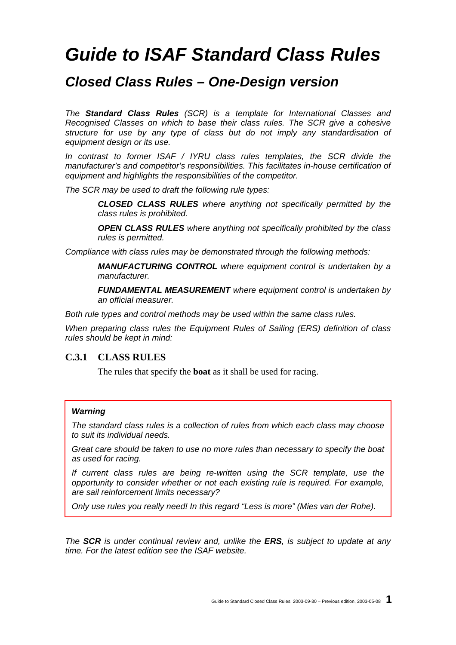# *Guide to ISAF Standard Class Rules*

# *Closed Class Rules – One-Design version*

*The Standard Class Rules (SCR) is a template for International Classes and Recognised Classes on which to base their class rules. The SCR give a cohesive structure for use by any type of class but do not imply any standardisation of equipment design or its use.* 

*In contrast to former ISAF / IYRU class rules templates, the SCR divide the manufacturer's and competitor's responsibilities. This facilitates in-house certification of equipment and highlights the responsibilities of the competitor.* 

*The SCR may be used to draft the following rule types:* 

 *CLOSED CLASS RULES where anything not specifically permitted by the class rules is prohibited.* 

 *OPEN CLASS RULES where anything not specifically prohibited by the class rules is permitted.* 

*Compliance with class rules may be demonstrated through the following methods:* 

 *MANUFACTURING CONTROL where equipment control is undertaken by a manufacturer.* 

 *FUNDAMENTAL MEASUREMENT where equipment control is undertaken by an official measurer.* 

*Both rule types and control methods may be used within the same class rules.* 

*When preparing class rules the Equipment Rules of Sailing (ERS) definition of class rules should be kept in mind:* 

#### **C.3.1 CLASS RULES**

The rules that specify the **boat** as it shall be used for racing.

#### *Warning*

*The standard class rules is a collection of rules from which each class may choose to suit its individual needs.* 

*Great care should be taken to use no more rules than necessary to specify the boat as used for racing.* 

*If current class rules are being re-written using the SCR template, use the opportunity to consider whether or not each existing rule is required. For example, are sail reinforcement limits necessary?* 

*Only use rules you really need! In this regard "Less is more" (Mies van der Rohe).* 

*The SCR is under continual review and, unlike the ERS, is subject to update at any time. For the latest edition see the ISAF website.*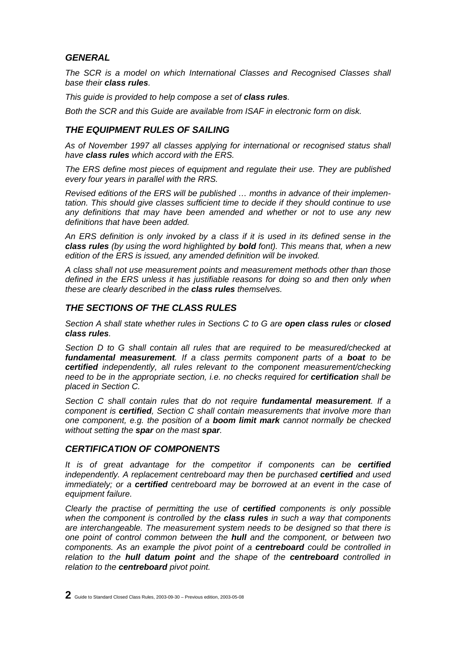# *GENERAL*

*The SCR is a model on which International Classes and Recognised Classes shall base their class rules.* 

*This guide is provided to help compose a set of class rules.* 

*Both the SCR and this Guide are available from ISAF in electronic form on disk.* 

# *THE EQUIPMENT RULES OF SAILING*

*As of November 1997 all classes applying for international or recognised status shall have class rules which accord with the ERS.* 

*The ERS define most pieces of equipment and regulate their use. They are published every four years in parallel with the RRS.* 

*Revised editions of the ERS will be published … months in advance of their implementation. This should give classes sufficient time to decide if they should continue to use any definitions that may have been amended and whether or not to use any new definitions that have been added.* 

*An ERS definition is only invoked by a class if it is used in its defined sense in the class rules (by using the word highlighted by bold font). This means that, when a new edition of the ERS is issued, any amended definition will be invoked.* 

*A class shall not use measurement points and measurement methods other than those defined in the ERS unless it has justifiable reasons for doing so and then only when these are clearly described in the class rules themselves.* 

#### *THE SECTIONS OF THE CLASS RULES*

*Section A shall state whether rules in Sections C to G are open class rules or closed class rules.* 

*Section D to G shall contain all rules that are required to be measured/checked at fundamental measurement. If a class permits component parts of a boat to be certified independently, all rules relevant to the component measurement/checking need to be in the appropriate section, i.e. no checks required for certification shall be placed in Section C.* 

*Section C shall contain rules that do not require fundamental measurement. If a component is certified, Section C shall contain measurements that involve more than one component, e.g. the position of a boom limit mark cannot normally be checked without setting the spar on the mast spar.* 

#### *CERTIFICATION OF COMPONENTS*

*It is of great advantage for the competitor if components can be certified independently. A replacement centreboard may then be purchased certified and used immediately; or a certified centreboard may be borrowed at an event in the case of equipment failure.* 

*Clearly the practise of permitting the use of certified components is only possible when the component is controlled by the class rules in such a way that components are interchangeable. The measurement system needs to be designed so that there is one point of control common between the hull and the component, or between two components. As an example the pivot point of a centreboard could be controlled in relation to the hull datum point and the shape of the centreboard controlled in relation to the centreboard pivot point.* 

**2** Guide to Standard Closed Class Rules, 2003-09-30 – Previous edition, 2003-05-08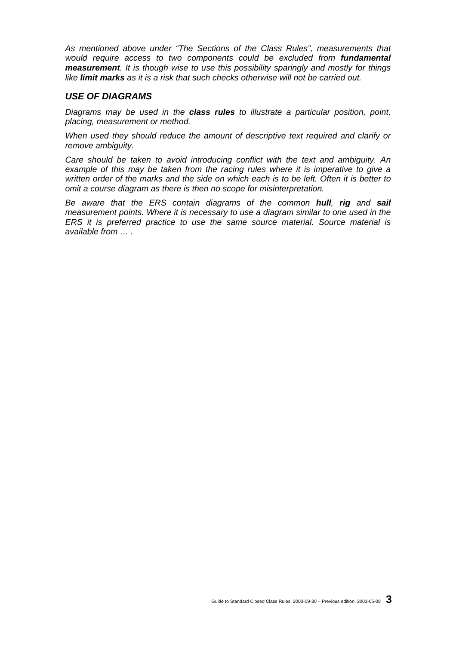*As mentioned above under "The Sections of the Class Rules", measurements that would require access to two components could be excluded from fundamental measurement. It is though wise to use this possibility sparingly and mostly for things like limit marks as it is a risk that such checks otherwise will not be carried out.* 

#### *USE OF DIAGRAMS*

*Diagrams may be used in the class rules to illustrate a particular position, point, placing, measurement or method.* 

*When used they should reduce the amount of descriptive text required and clarify or remove ambiguity.* 

*Care should be taken to avoid introducing conflict with the text and ambiguity. An*  example of this may be taken from the racing rules where it is imperative to give a *written order of the marks and the side on which each is to be left. Often it is better to omit a course diagram as there is then no scope for misinterpretation.* 

*Be aware that the ERS contain diagrams of the common hull, rig and sail measurement points. Where it is necessary to use a diagram similar to one used in the ERS it is preferred practice to use the same source material. Source material is available from … .*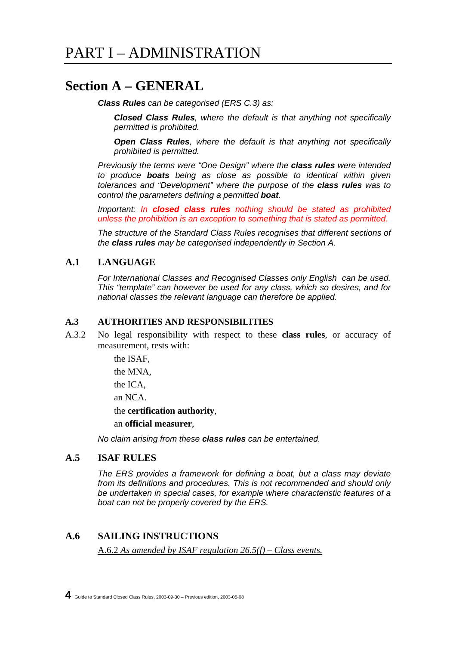# **Section A – GENERAL**

 *Class Rules can be categorised (ERS C.3) as:* 

 *Closed Class Rules, where the default is that anything not specifically permitted is prohibited.* 

 *Open Class Rules, where the default is that anything not specifically prohibited is permitted.* 

 *Previously the terms were "One Design" where the class rules were intended to produce boats being as close as possible to identical within given tolerances and "Development" where the purpose of the class rules was to control the parameters defining a permitted boat.* 

 *Important: In closed class rules nothing should be stated as prohibited unless the prohibition is an exception to something that is stated as permitted.*

 *The structure of the Standard Class Rules recognises that different sections of the class rules may be categorised independently in Section A.* 

#### **A.1 LANGUAGE**

 *For International Classes and Recognised Classes only English can be used. This "template" can however be used for any class, which so desires, and for national classes the relevant language can therefore be applied.* 

#### **A.3 AUTHORITIES AND RESPONSIBILITIES**

A.3.2 No legal responsibility with respect to these **class rules**, or accuracy of measurement, rests with:

the ISAF,

the MNA,

the ICA,

an NCA.

the **certification authority**,

an **official measurer**,

 *No claim arising from these class rules can be entertained.*

#### **A.5 ISAF RULES**

 *The ERS provides a framework for defining a boat, but a class may deviate from its definitions and procedures. This is not recommended and should only be undertaken in special cases, for example where characteristic features of a boat can not be properly covered by the ERS.* 

#### **A.6 SAILING INSTRUCTIONS**

A.6.2 *As amended by ISAF regulation 26.5(f) – Class events.*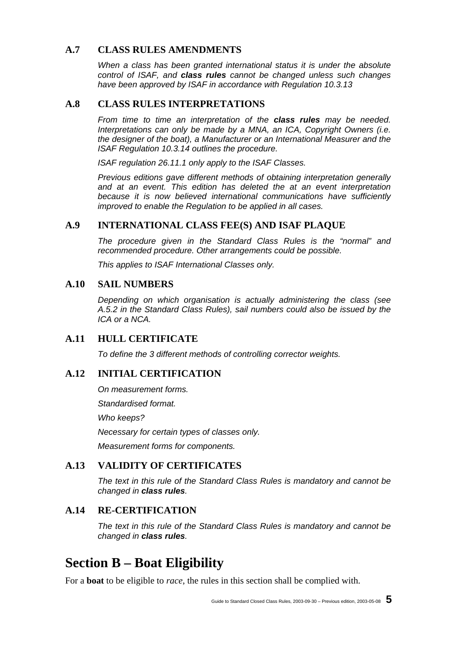## **A.7 CLASS RULES AMENDMENTS**

 *When a class has been granted international status it is under the absolute control of ISAF, and class rules cannot be changed unless such changes have been approved by ISAF in accordance with Regulation 10.3.13*

#### **A.8 CLASS RULES INTERPRETATIONS**

 *From time to time an interpretation of the class rules may be needed. Interpretations can only be made by a MNA, an ICA, Copyright Owners (i.e. the designer of the boat), a Manufacturer or an International Measurer and the ISAF Regulation 10.3.14 outlines the procedure.* 

 *ISAF regulation 26.11.1 only apply to the ISAF Classes.* 

 *Previous editions gave different methods of obtaining interpretation generally and at an event. This edition has deleted the at an event interpretation because it is now believed international communications have sufficiently improved to enable the Regulation to be applied in all cases.* 

#### **A.9 INTERNATIONAL CLASS FEE(S) AND ISAF PLAQUE**

 *The procedure given in the Standard Class Rules is the "normal" and recommended procedure. Other arrangements could be possible.* 

 *This applies to ISAF International Classes only.* 

#### **A.10 SAIL NUMBERS**

 *Depending on which organisation is actually administering the class (see A.5.2 in the Standard Class Rules), sail numbers could also be issued by the ICA or a NCA.* 

#### **A.11 HULL CERTIFICATE**

 *To define the 3 different methods of controlling corrector weights.* 

#### **A.12 INITIAL CERTIFICATION**

 *On measurement forms.* 

 *Standardised format.* 

 *Who keeps?* 

 *Necessary for certain types of classes only.* 

 *Measurement forms for components.* 

### **A.13 VALIDITY OF CERTIFICATES**

 *The text in this rule of the Standard Class Rules is mandatory and cannot be changed in class rules.* 

#### **A.14 RE-CERTIFICATION**

 *The text in this rule of the Standard Class Rules is mandatory and cannot be changed in class rules.* 

# **Section B – Boat Eligibility**

For a **boat** to be eligible to *race*, the rules in this section shall be complied with.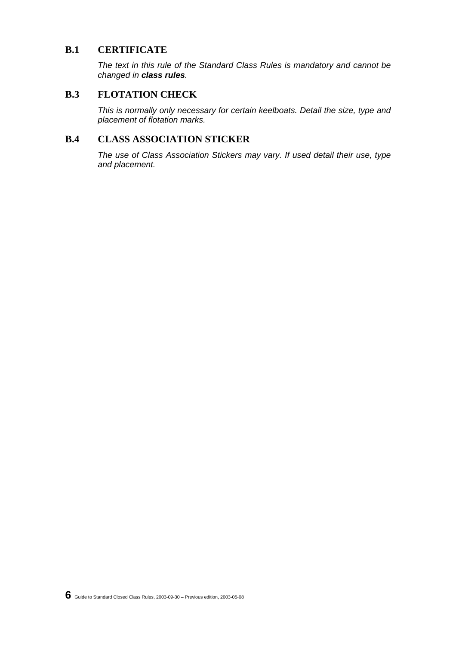#### **B.1 CERTIFICATE**

 *The text in this rule of the Standard Class Rules is mandatory and cannot be changed in class rules.* 

#### **B.3 FLOTATION CHECK**

 *This is normally only necessary for certain keelboats. Detail the size, type and placement of flotation marks.* 

# **B.4 CLASS ASSOCIATION STICKER**

 *The use of Class Association Stickers may vary. If used detail their use, type and placement.*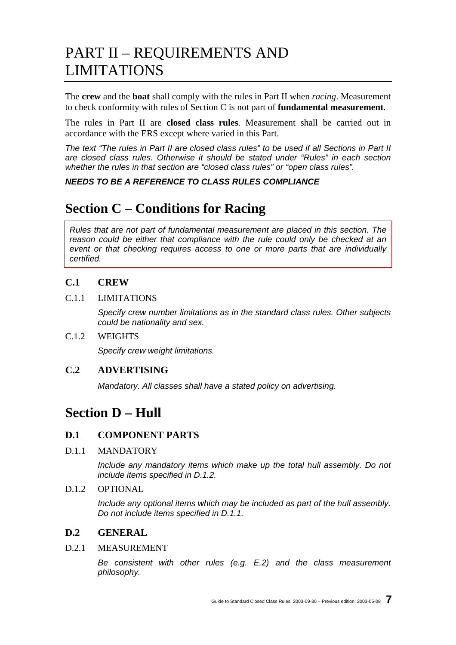# PART II – REQUIREMENTS AND LIMITATIONS

The **crew** and the **boat** shall comply with the rules in Part II when *racing*. Measurement to check conformity with rules of Section C is not part of **fundamental measurement**.

The rules in Part II are **closed class rules**. Measurement shall be carried out in accordance with the ERS except where varied in this Part.

*The text "The rules in Part II are closed class rules" to be used if all Sections in Part II are closed class rules. Otherwise it should be stated under "Rules" in each section whether the rules in that section are "closed class rules" or "open class rules".* 

#### *NEEDS TO BE A REFERENCE TO CLASS RULES COMPLIANCE*

# **Section C – Conditions for Racing**

*Rules that are not part of fundamental measurement are placed in this section. The reason could be either that compliance with the rule could only be checked at an event or that checking requires access to one or more parts that are individually certified.* 

# **C.1 CREW**

#### C.1.1 LIMITATIONS

 *Specify crew number limitations as in the standard class rules. Other subjects could be nationality and sex.* 

#### C.1.2 WEIGHTS

 *Specify crew weight limitations.* 

#### **C.2 ADVERTISING**

 *Mandatory. All classes shall have a stated policy on advertising.* 

# **Section D – Hull**

#### **D.1 COMPONENT PARTS**

D.1.1 MANDATORY

 *Include any mandatory items which make up the total hull assembly. Do not include items specified in D.1.2.* 

D.1.2 OPTIONAL

 *Include any optional items which may be included as part of the hull assembly. Do not include items specified in D.1.1.* 

# **D.2 GENERAL**

D.2.1 MEASUREMENT

 *Be consistent with other rules (e.g. E.2) and the class measurement philosophy.*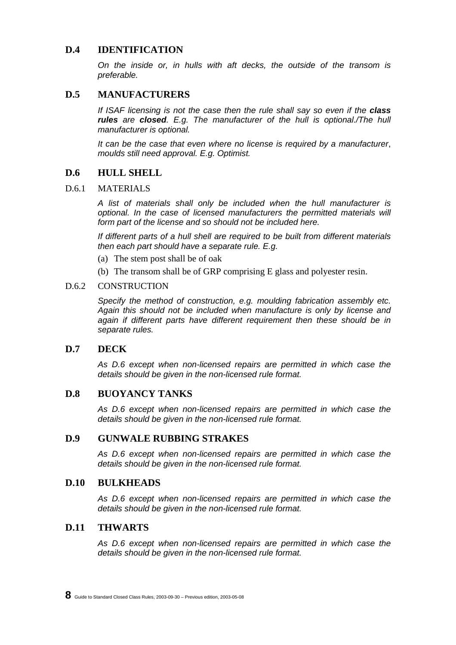#### **D.4 IDENTIFICATION**

 *On the inside or, in hulls with aft decks, the outside of the transom is preferable.* 

#### **D.5 MANUFACTURERS**

 *If ISAF licensing is not the case then the rule shall say so even if the class rules are closed. E.g. The manufacturer of the hull is optional./The hull manufacturer is optional.* 

 *It can be the case that even where no license is required by a manufacturer*, *moulds still need approval. E.g. Optimist.* 

#### **D.6 HULL SHELL**

#### D.6.1 MATERIALS

 *A list of materials shall only be included when the hull manufacturer is optional. In the case of licensed manufacturers the permitted materials will form part of the license and so should not be included here.* 

 *If different parts of a hull shell are required to be built from different materials then each part should have a separate rule. E.g.* 

- (a) The stem post shall be of oak
- (b) The transom shall be of GRP comprising E glass and polyester resin.

#### D.6.2 CONSTRUCTION

 *Specify the method of construction, e.g. moulding fabrication assembly etc. Again this should not be included when manufacture is only by license and again if different parts have different requirement then these should be in separate rules.* 

#### **D.7 DECK**

 *As D.6 except when non-licensed repairs are permitted in which case the details should be given in the non-licensed rule format.* 

#### **D.8 BUOYANCY TANKS**

 *As D.6 except when non-licensed repairs are permitted in which case the details should be given in the non-licensed rule format.* 

#### **D.9 GUNWALE RUBBING STRAKES**

 *As D.6 except when non-licensed repairs are permitted in which case the details should be given in the non-licensed rule format.* 

#### **D.10 BULKHEADS**

 *As D.6 except when non-licensed repairs are permitted in which case the details should be given in the non-licensed rule format.* 

#### **D.11 THWARTS**

 *As D.6 except when non-licensed repairs are permitted in which case the details should be given in the non-licensed rule format.*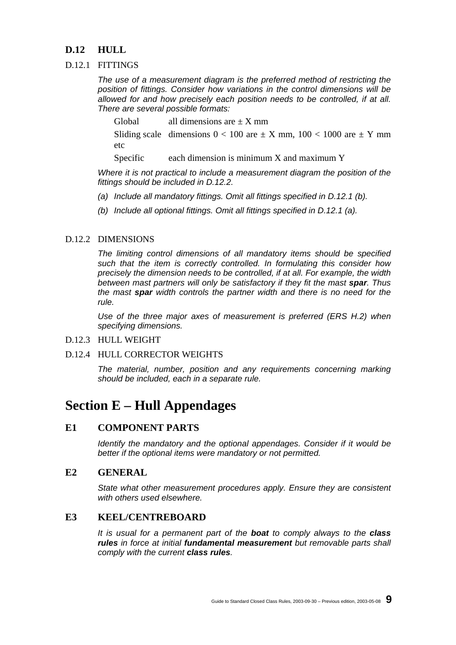# **D.12 HULL**

#### D.12.1 FITTINGS

 *The use of a measurement diagram is the preferred method of restricting the position of fittings. Consider how variations in the control dimensions will be allowed for and how precisely each position needs to be controlled, if at all. There are several possible formats:* 

Global all dimensions are  $\pm X$  mm

Sliding scale dimensions  $0 < 100$  are  $\pm X$  mm,  $100 < 1000$  are  $\pm Y$  mm etc

Specific each dimension is minimum X and maximum Y

 *Where it is not practical to include a measurement diagram the position of the fittings should be included in D.12.2.* 

- *(a) Include all mandatory fittings. Omit all fittings specified in D.12.1 (b).*
- *(b) Include all optional fittings. Omit all fittings specified in D.12.1 (a).*

#### D.12.2 DIMENSIONS

 *The limiting control dimensions of all mandatory items should be specified such that the item is correctly controlled. In formulating this consider how precisely the dimension needs to be controlled, if at all. For example, the width between mast partners will only be satisfactory if they fit the mast spar. Thus the mast spar width controls the partner width and there is no need for the rule.* 

 *Use of the three major axes of measurement is preferred (ERS H.2) when specifying dimensions.* 

#### D.12.3 HULL WEIGHT

#### D.12.4 HULL CORRECTOR WEIGHTS

 *The material, number, position and any requirements concerning marking should be included, each in a separate rule.* 

# **Section E – Hull Appendages**

### **E1 COMPONENT PARTS**

 *Identify the mandatory and the optional appendages. Consider if it would be better if the optional items were mandatory or not permitted.* 

#### **E2 GENERAL**

 *State what other measurement procedures apply. Ensure they are consistent with others used elsewhere.* 

#### **E3 KEEL/CENTREBOARD**

 *It is usual for a permanent part of the boat to comply always to the class rules in force at initial fundamental measurement but removable parts shall comply with the current class rules.*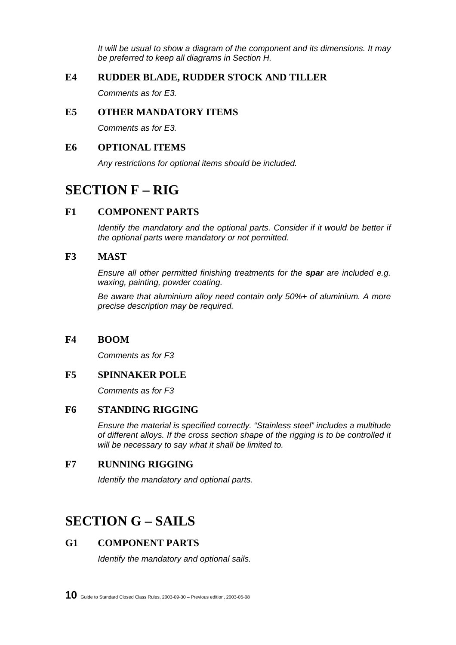*It will be usual to show a diagram of the component and its dimensions. It may be preferred to keep all diagrams in Section H.* 

# **E4 RUDDER BLADE, RUDDER STOCK AND TILLER**

 *Comments as for E3.* 

# **E5 OTHER MANDATORY ITEMS**

 *Comments as for E3.* 

#### **E6 OPTIONAL ITEMS**

 *Any restrictions for optional items should be included.* 

# **SECTION F – RIG**

# **F1 COMPONENT PARTS**

*Identify the mandatory and the optional parts. Consider if it would be better if the optional parts were mandatory or not permitted.* 

#### **F3 MAST**

 *Ensure all other permitted finishing treatments for the spar are included e.g. waxing, painting, powder coating.* 

 *Be aware that aluminium alloy need contain only 50%+ of aluminium. A more precise description may be required.* 

#### **F4 BOOM**

 *Comments as for F3* 

#### **F5 SPINNAKER POLE**

 *Comments as for F3* 

# **F6 STANDING RIGGING**

 *Ensure the material is specified correctly. "Stainless steel" includes a multitude of different alloys. If the cross section shape of the rigging is to be controlled it will be necessary to say what it shall be limited to.* 

#### **F7 RUNNING RIGGING**

 *Identify the mandatory and optional parts.* 

# **SECTION G – SAILS**

# **G1 COMPONENT PARTS**

 *Identify the mandatory and optional sails.*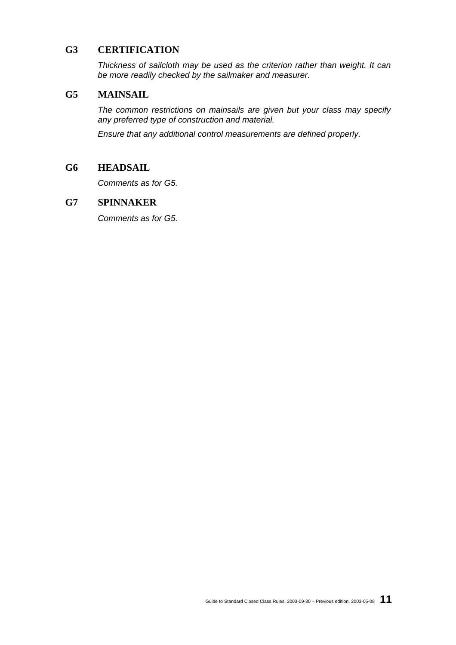### **G3 CERTIFICATION**

 *Thickness of sailcloth may be used as the criterion rather than weight. It can be more readily checked by the sailmaker and measurer.* 

#### **G5 MAINSAIL**

 *The common restrictions on mainsails are given but your class may specify any preferred type of construction and material.* 

 *Ensure that any additional control measurements are defined properly.* 

#### **G6 HEADSAIL**

 *Comments as for G5.* 

#### **G7 SPINNAKER**

 *Comments as for G5.*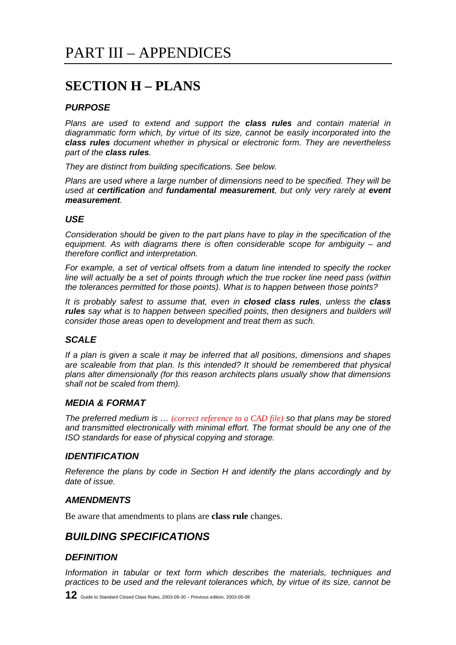# **SECTION H – PLANS**

# *PURPOSE*

*Plans are used to extend and support the class rules and contain material in diagrammatic form which, by virtue of its size, cannot be easily incorporated into the class rules document whether in physical or electronic form. They are nevertheless part of the class rules.* 

*They are distinct from building specifications. See below.* 

*Plans are used where a large number of dimensions need to be specified. They will be used at certification and fundamental measurement, but only very rarely at event measurement.* 

#### *USE*

*Consideration should be given to the part plans have to play in the specification of the equipment. As with diagrams there is often considerable scope for ambiguity – and therefore conflict and interpretation.* 

*For example, a set of vertical offsets from a datum line intended to specify the rocker line will actually be a set of points through which the true rocker line need pass (within the tolerances permitted for those points). What is to happen between those points?* 

*It is probably safest to assume that, even in closed class rules, unless the class rules say what is to happen between specified points, then designers and builders will consider those areas open to development and treat them as such.* 

#### *SCALE*

*If a plan is given a scale it may be inferred that all positions, dimensions and shapes are scaleable from that plan. Is this intended? It should be remembered that physical plans alter dimensionally (for this reason architects plans usually show that dimensions shall not be scaled from them).* 

#### *MEDIA & FORMAT*

*The preferred medium is … (correct reference to a CAD file) so that plans may be stored and transmitted electronically with minimal effort. The format should be any one of the ISO standards for ease of physical copying and storage.* 

#### *IDENTIFICATION*

*Reference the plans by code in Section H and identify the plans accordingly and by date of issue.* 

#### *AMENDMENTS*

Be aware that amendments to plans are **class rule** changes.

# *BUILDING SPECIFICATIONS*

#### *DEFINITION*

*Information in tabular or text form which describes the materials, techniques and practices to be used and the relevant tolerances which, by virtue of its size, cannot be*